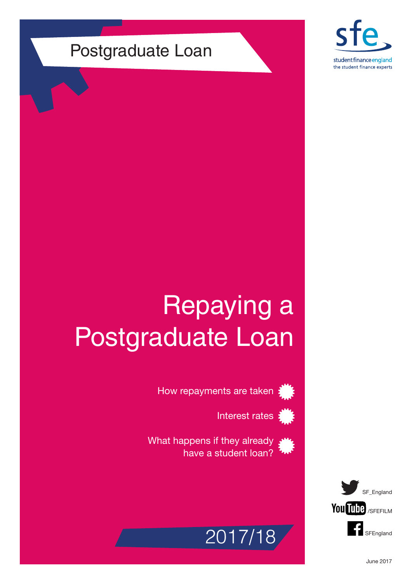# Postgraduate Loan



# Repaying a Postgraduate Loan



How repayments are taken  $\frac{1}{2}$ 



What happens if they already have a student loan?



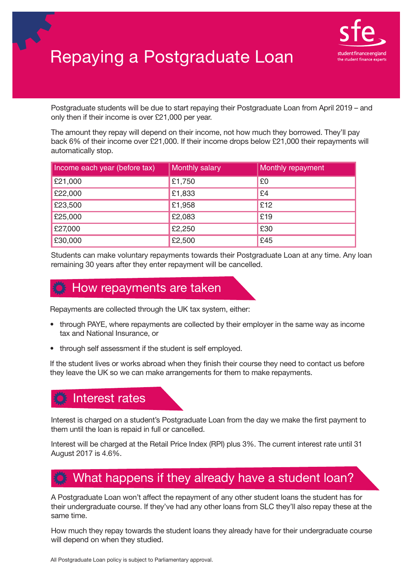

# Repaying a Postgraduate Loan

Postgraduate students will be due to start repaying their Postgraduate Loan from April 2019 – and only then if their income is over £21,000 per year.

The amount they repay will depend on their income, not how much they borrowed. They'll pay back 6% of their income over £21,000. If their income drops below £21,000 their repayments will automatically stop.

| Income each year (before tax) | <b>Monthly salary</b> | Monthly repayment |
|-------------------------------|-----------------------|-------------------|
| £21,000                       | £1,750                | £0                |
| £22,000                       | £1,833                | £4                |
| £23,500                       | £1,958                | £12               |
| £25,000                       | £2,083                | £19               |
| £27,000                       | £2,250                | £30               |
| £30,000                       | £2,500                | £45               |

Students can make voluntary repayments towards their Postgraduate Loan at any time. Any loan remaining 30 years after they enter repayment will be cancelled.

## How repayments are taken

Repayments are collected through the UK tax system, either:

- through PAYE, where repayments are collected by their employer in the same way as income tax and National Insurance, or
- through self assessment if the student is self employed.

If the student lives or works abroad when they finish their course they need to contact us before they leave the UK so we can make arrangements for them to make repayments.

### Interest rates

Interest is charged on a student's Postgraduate Loan from the day we make the first payment to them until the loan is repaid in full or cancelled.

Interest will be charged at the Retail Price Index (RPI) plus 3%. The current interest rate until 31 August 2017 is 4.6%.

### What happens if they already have a student loan?

A Postgraduate Loan won't affect the repayment of any other student loans the student has for their undergraduate course. If they've had any other loans from SLC they'll also repay these at the same time.

How much they repay towards the student loans they already have for their undergraduate course will depend on when they studied.